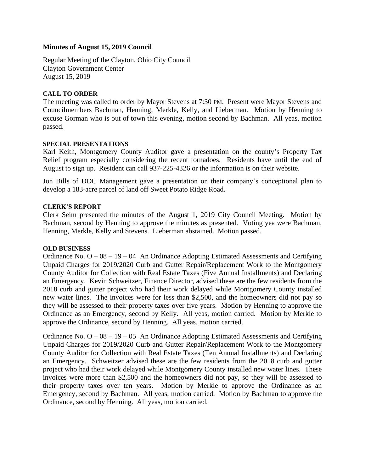# **Minutes of August 15, 2019 Council**

Regular Meeting of the Clayton, Ohio City Council Clayton Government Center August 15, 2019

## **CALL TO ORDER**

The meeting was called to order by Mayor Stevens at 7:30 PM. Present were Mayor Stevens and Councilmembers Bachman, Henning, Merkle, Kelly, and Lieberman. Motion by Henning to excuse Gorman who is out of town this evening, motion second by Bachman. All yeas, motion passed.

### **SPECIAL PRESENTATIONS**

Karl Keith, Montgomery County Auditor gave a presentation on the county's Property Tax Relief program especially considering the recent tornadoes. Residents have until the end of August to sign up. Resident can call 937-225-4326 or the information is on their website.

Jon Bills of DDC Management gave a presentation on their company's conceptional plan to develop a 183-acre parcel of land off Sweet Potato Ridge Road.

## **CLERK'S REPORT**

Clerk Seim presented the minutes of the August 1, 2019 City Council Meeting. Motion by Bachman, second by Henning to approve the minutes as presented. Voting yea were Bachman, Henning, Merkle, Kelly and Stevens. Lieberman abstained. Motion passed.

### **OLD BUSINESS**

Ordinance No.  $O - 08 - 19 - 04$  An Ordinance Adopting Estimated Assessments and Certifying Unpaid Charges for 2019/2020 Curb and Gutter Repair/Replacement Work to the Montgomery County Auditor for Collection with Real Estate Taxes (Five Annual Installments) and Declaring an Emergency. Kevin Schweitzer, Finance Director, advised these are the few residents from the 2018 curb and gutter project who had their work delayed while Montgomery County installed new water lines. The invoices were for less than \$2,500, and the homeowners did not pay so they will be assessed to their property taxes over five years. Motion by Henning to approve the Ordinance as an Emergency, second by Kelly. All yeas, motion carried. Motion by Merkle to approve the Ordinance, second by Henning. All yeas, motion carried.

Ordinance No.  $O - 08 - 19 - 05$  An Ordinance Adopting Estimated Assessments and Certifying Unpaid Charges for 2019/2020 Curb and Gutter Repair/Replacement Work to the Montgomery County Auditor for Collection with Real Estate Taxes (Ten Annual Installments) and Declaring an Emergency. Schweitzer advised these are the few residents from the 2018 curb and gutter project who had their work delayed while Montgomery County installed new water lines. These invoices were more than \$2,500 and the homeowners did not pay, so they will be assessed to their property taxes over ten years. Motion by Merkle to approve the Ordinance as an Emergency, second by Bachman. All yeas, motion carried. Motion by Bachman to approve the Ordinance, second by Henning. All yeas, motion carried.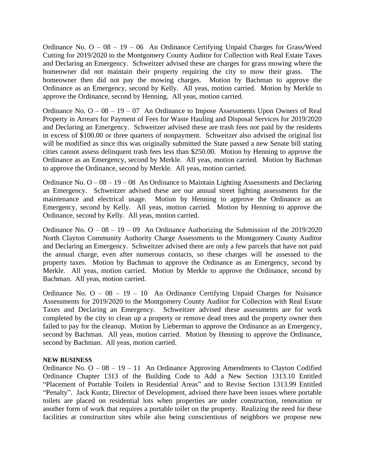Ordinance No.  $O - 08 - 19 - 06$  An Ordinance Certifying Unpaid Charges for Grass/Weed Cutting for 2019/2020 to the Montgomery County Auditor for Collection with Real Estate Taxes and Declaring an Emergency. Schweitzer advised these are charges for grass mowing where the homeowner did not maintain their property requiring the city to mow their grass. The homeowner then did not pay the mowing charges. Motion by Bachman to approve the Ordinance as an Emergency, second by Kelly. All yeas, motion carried. Motion by Merkle to approve the Ordinance, second by Henning. All yeas, motion carried.

Ordinance No.  $O - 08 - 19 - 07$  An Ordinance to Impose Assessments Upon Owners of Real Property in Arrears for Payment of Fees for Waste Hauling and Disposal Services for 2019/2020 and Declaring an Emergency. Schweitzer advised these are trash fees not paid by the residents in excess of \$100.00 or three quarters of nonpayment. Schweitzer also advised the original list will be modified as since this was originally submitted the State passed a new Senate bill stating cities cannot assess delinquent trash fees less than \$250.00. Motion by Henning to approve the Ordinance as an Emergency, second by Merkle. All yeas, motion carried. Motion by Bachman to approve the Ordinance, second by Merkle. All yeas, motion carried.

Ordinance No.  $O - 08 - 19 - 08$  An Ordinance to Maintain Lighting Assessments and Declaring an Emergency. Schweitzer advised these are our annual street lighting assessments for the maintenance and electrical usage. Motion by Henning to approve the Ordinance as an Emergency, second by Kelly. All yeas, motion carried. Motion by Henning to approve the Ordinance, second by Kelly. All yeas, motion carried.

Ordinance No.  $O - 08 - 19 - 09$  An Ordinance Authorizing the Submission of the 2019/2020 North Clayton Community Authority Charge Assessments to the Montgomery County Auditor and Declaring an Emergency. Schweitzer advised there are only a few parcels that have not paid the annual charge, even after numerous contacts, so these charges will be assessed to the property taxes. Motion by Bachman to approve the Ordinance as an Emergency, second by Merkle. All yeas, motion carried. Motion by Merkle to approve the Ordinance, second by Bachman. All yeas, motion carried.

Ordinance No.  $O - 08 - 19 - 10$  An Ordinance Certifying Unpaid Charges for Nuisance Assessments for 2019/2020 to the Montgomery County Auditor for Collection with Real Estate Taxes and Declaring an Emergency. Schweitzer advised these assessments are for work completed by the city to clean up a property or remove dead trees and the property owner then failed to pay for the cleanup. Motion by Lieberman to approve the Ordinance as an Emergency, second by Bachman. All yeas, motion carried. Motion by Henning to approve the Ordinance, second by Bachman. All yeas, motion carried.

### **NEW BUSINESS**

Ordinance No.  $O - 08 - 19 - 11$  An Ordinance Approving Amendments to Clayton Codified Ordinance Chapter 1313 of the Building Code to Add a New Section 1313.10 Entitled "Placement of Portable Toilets in Residential Areas" and to Revise Section 1313.99 Entitled "Penalty". Jack Kuntz, Director of Development, advised there have been issues where portable toilets are placed on residential lots when properties are under construction, renovation or another form of work that requires a portable toilet on the property. Realizing the need for these facilities at construction sites while also being conscientious of neighbors we propose new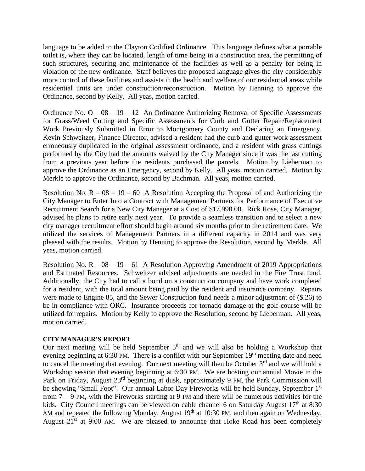language to be added to the Clayton Codified Ordinance. This language defines what a portable toilet is, where they can be located, length of time being in a construction area, the permitting of such structures, securing and maintenance of the facilities as well as a penalty for being in violation of the new ordinance. Staff believes the proposed language gives the city considerably more control of these facilities and assists in the health and welfare of our residential areas while residential units are under construction/reconstruction. Motion by Henning to approve the Ordinance, second by Kelly. All yeas, motion carried.

Ordinance No.  $O - 08 - 19 - 12$  An Ordinance Authorizing Removal of Specific Assessments for Grass/Weed Cutting and Specific Assessments for Curb and Gutter Repair/Replacement Work Previously Submitted in Error to Montgomery County and Declaring an Emergency. Kevin Schweitzer, Finance Director, advised a resident had the curb and gutter work assessment erroneously duplicated in the original assessment ordinance, and a resident with grass cuttings performed by the City had the amounts waived by the City Manager since it was the last cutting from a previous year before the residents purchased the parcels. Motion by Lieberman to approve the Ordinance as an Emergency, second by Kelly. All yeas, motion carried. Motion by Merkle to approve the Ordinance, second by Bachman. All yeas, motion carried.

Resolution No.  $R - 08 - 19 - 60$  A Resolution Accepting the Proposal of and Authorizing the City Manager to Enter Into a Contract with Management Partners for Performance of Executive Recruitment Search for a New City Manager at a Cost of \$17,990.00. Rick Rose, City Manager, advised he plans to retire early next year. To provide a seamless transition and to select a new city manager recruitment effort should begin around six months prior to the retirement date. We utilized the services of Management Partners in a different capacity in 2014 and was very pleased with the results. Motion by Henning to approve the Resolution, second by Merkle. All yeas, motion carried.

Resolution No.  $R - 08 - 19 - 61$  A Resolution Approving Amendment of 2019 Appropriations and Estimated Resources. Schweitzer advised adjustments are needed in the Fire Trust fund. Additionally, the City had to call a bond on a construction company and have work completed for a resident, with the total amount being paid by the resident and insurance company. Repairs were made to Engine 85, and the Sewer Construction fund needs a minor adjustment of (\$.26) to be in compliance with ORC. Insurance proceeds for tornado damage at the golf course will be utilized for repairs. Motion by Kelly to approve the Resolution, second by Lieberman. All yeas, motion carried.

### **CITY MANAGER'S REPORT**

Our next meeting will be held September  $5<sup>th</sup>$  and we will also be holding a Workshop that evening beginning at 6:30 PM. There is a conflict with our September 19<sup>th</sup> meeting date and need to cancel the meeting that evening. Our next meeting will then be October  $3<sup>rd</sup>$  and we will hold a Workshop session that evening beginning at 6:30 PM. We are hosting our annual Movie in the Park on Friday, August 23<sup>rd</sup> beginning at dusk, approximately 9 PM, the Park Commission will be showing "Small Foot". Our annual Labor Day Fireworks will be held Sunday, September 1st from 7 – 9 PM, with the Fireworks starting at 9 PM and there will be numerous activities for the kids. City Council meetings can be viewed on cable channel 6 on Saturday August  $17<sup>th</sup>$  at 8:30 AM and repeated the following Monday, August  $19<sup>th</sup>$  at 10:30 PM, and then again on Wednesday, August  $21<sup>st</sup>$  at 9:00 AM. We are pleased to announce that Hoke Road has been completely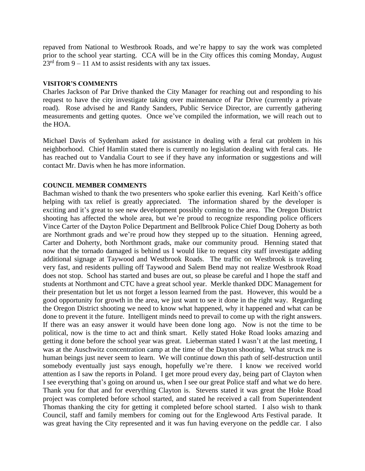repaved from National to Westbrook Roads, and we're happy to say the work was completed prior to the school year starting. CCA will be in the City offices this coming Monday, August  $23<sup>rd</sup>$  from 9 – 11 AM to assist residents with any tax issues.

### **VISITOR'S COMMENTS**

Charles Jackson of Par Drive thanked the City Manager for reaching out and responding to his request to have the city investigate taking over maintenance of Par Drive (currently a private road). Rose advised he and Randy Sanders, Public Service Director, are currently gathering measurements and getting quotes. Once we've compiled the information, we will reach out to the HOA.

Michael Davis of Sydenham asked for assistance in dealing with a feral cat problem in his neighborhood. Chief Hamlin stated there is currently no legislation dealing with feral cats. He has reached out to Vandalia Court to see if they have any information or suggestions and will contact Mr. Davis when he has more information.

## **COUNCIL MEMBER COMMENTS**

Bachman wished to thank the two presenters who spoke earlier this evening. Karl Keith's office helping with tax relief is greatly appreciated. The information shared by the developer is exciting and it's great to see new development possibly coming to the area. The Oregon District shooting has affected the whole area, but we're proud to recognize responding police officers Vince Carter of the Dayton Police Department and Bellbrook Police Chief Doug Doherty as both are Northmont grads and we're proud how they stepped up to the situation. Henning agreed, Carter and Doherty, both Northmont grads, make our community proud. Henning stated that now that the tornado damaged is behind us I would like to request city staff investigate adding additional signage at Taywood and Westbrook Roads. The traffic on Westbrook is traveling very fast, and residents pulling off Taywood and Salem Bend may not realize Westbrook Road does not stop. School has started and buses are out, so please be careful and I hope the staff and students at Northmont and CTC have a great school year. Merkle thanked DDC Management for their presentation but let us not forget a lesson learned from the past. However, this would be a good opportunity for growth in the area, we just want to see it done in the right way. Regarding the Oregon District shooting we need to know what happened, why it happened and what can be done to prevent it the future. Intelligent minds need to prevail to come up with the right answers. If there was an easy answer it would have been done long ago. Now is not the time to be political, now is the time to act and think smart. Kelly stated Hoke Road looks amazing and getting it done before the school year was great. Lieberman stated I wasn't at the last meeting, I was at the Auschwitz concentration camp at the time of the Dayton shooting. What struck me is human beings just never seem to learn. We will continue down this path of self-destruction until somebody eventually just says enough, hopefully we're there. I know we received world attention as I saw the reports in Poland. I get more proud every day, being part of Clayton when I see everything that's going on around us, when I see our great Police staff and what we do here. Thank you for that and for everything Clayton is. Stevens stated it was great the Hoke Road project was completed before school started, and stated he received a call from Superintendent Thomas thanking the city for getting it completed before school started. I also wish to thank Council, staff and family members for coming out for the Englewood Arts Festival parade. It was great having the City represented and it was fun having everyone on the peddle car. I also